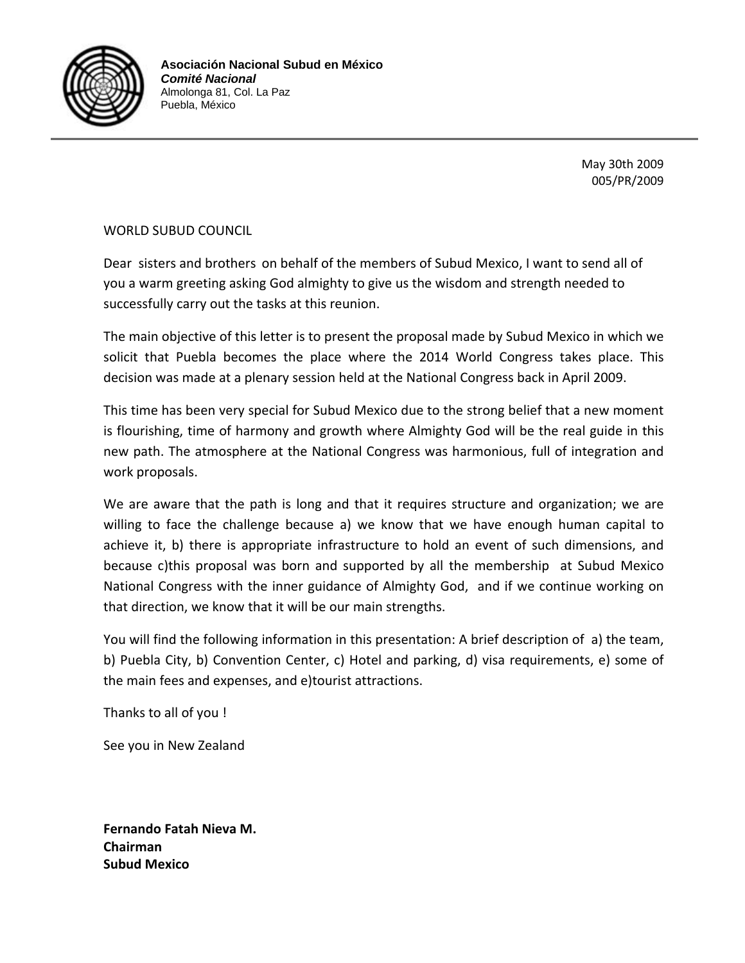

May 30th 2009 005/PR/2009

WORLD SUBUD COUNCIL

Dear sisters and brothers on behalf of the members of Subud Mexico, I want to send all of you a warm greeting asking God almighty to give us the wisdom and strength needed to successfully carry out the tasks at this reunion.

The main objective of this letter is to present the proposal made by Subud Mexico in which we solicit that Puebla becomes the place where the 2014 World Congress takes place. This decision was made at a plenary session held at the National Congress back in April 2009.

This time has been very special for Subud Mexico due to the strong belief that a new moment is flourishing, time of harmony and growth where Almighty God will be the real guide in this new path. The atmosphere at the National Congress was harmonious, full of integration and work proposals.

We are aware that the path is long and that it requires structure and organization; we are willing to face the challenge because a) we know that we have enough human capital to achieve it, b) there is appropriate infrastructure to hold an event of such dimensions, and because c)this proposal was born and supported by all the membership at Subud Mexico National Congress with the inner guidance of Almighty God, and if we continue working on that direction, we know that it will be our main strengths.

You will find the following information in this presentation: A brief description of a) the team, b) Puebla City, b) Convention Center, c) Hotel and parking, d) visa requirements, e) some of the main fees and expenses, and e)tourist attractions.

Thanks to all of you !

See you in New Zealand

**Fernando Fatah Nieva M. Chairman Subud Mexico**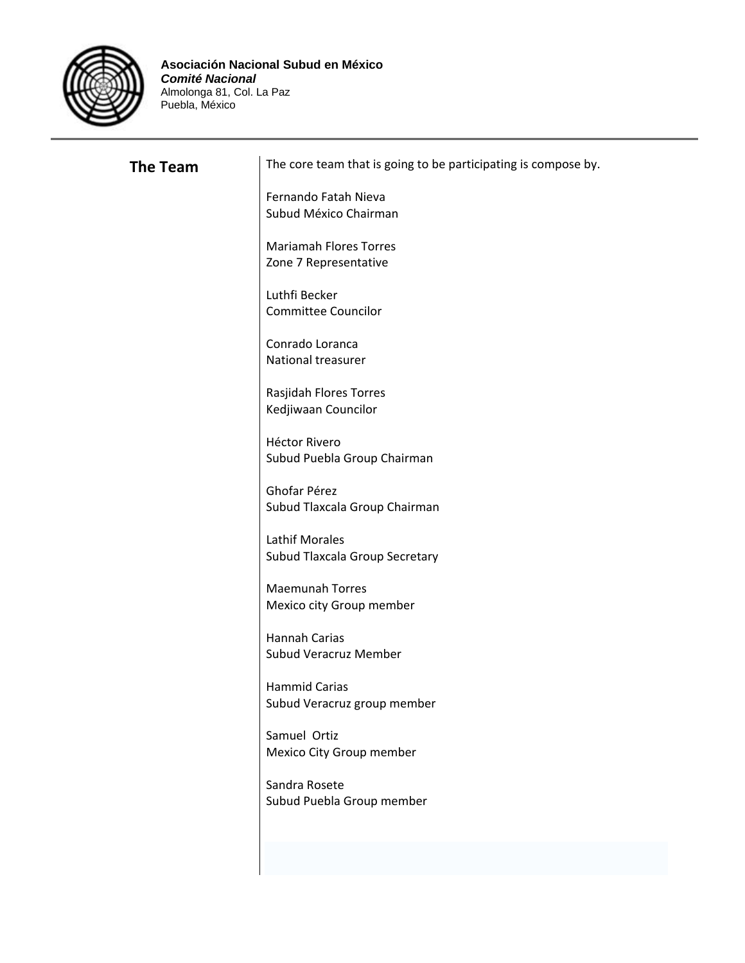

| <b>The Team</b> | The core team that is going to be participating is compose by. |
|-----------------|----------------------------------------------------------------|
|                 | Fernando Fatah Nieva<br>Subud México Chairman                  |
|                 | <b>Mariamah Flores Torres</b><br>Zone 7 Representative         |
|                 | Luthfi Becker<br><b>Committee Councilor</b>                    |
|                 | Conrado Loranca<br>National treasurer                          |
|                 | Rasjidah Flores Torres<br>Kedjiwaan Councilor                  |
|                 | <b>Héctor Rivero</b><br>Subud Puebla Group Chairman            |
|                 | Ghofar Pérez<br>Subud Tlaxcala Group Chairman                  |
|                 | <b>Lathif Morales</b><br>Subud Tlaxcala Group Secretary        |
|                 | <b>Maemunah Torres</b><br>Mexico city Group member             |
|                 | <b>Hannah Carias</b><br><b>Subud Veracruz Member</b>           |
|                 | <b>Hammid Carias</b>                                           |
|                 | Subud Veracruz group member<br>Samuel Ortiz                    |
|                 | Mexico City Group member<br>Sandra Rosete                      |
|                 | Subud Puebla Group member                                      |
|                 |                                                                |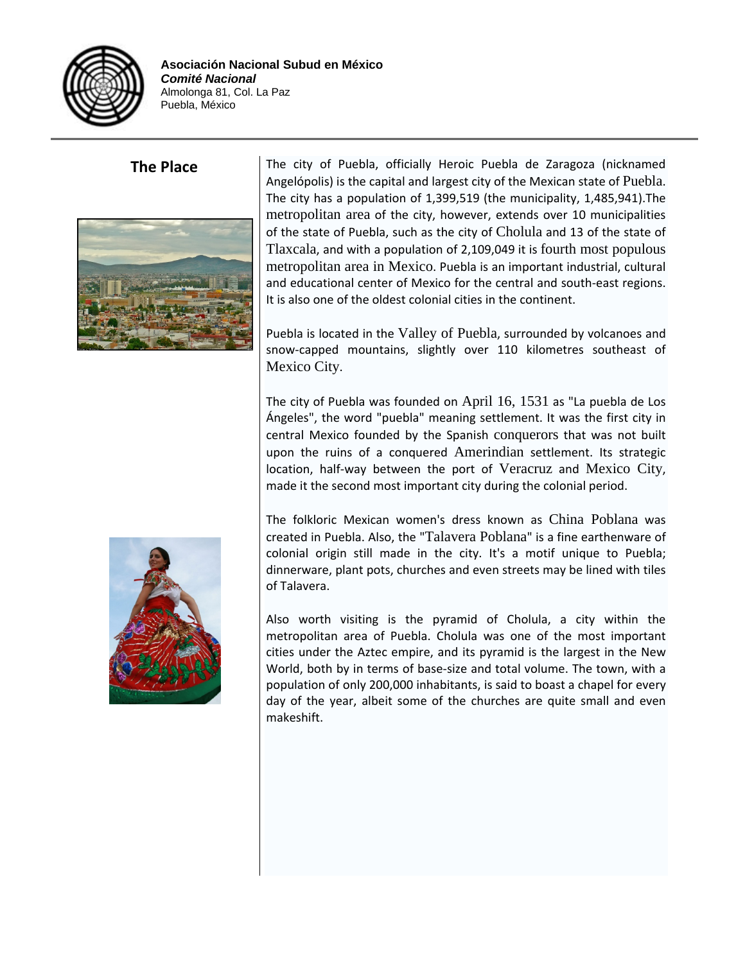



**The Place** The city of Puebla, officially Heroic Puebla de Zaragoza (nicknamed Angelópolis) is the capital and largest city of the Mexican state of Puebla. The city has a population of 1,399,519 (the municipality, 1,485,941).The metropolitan area of the city, however, extends over 10 municipalities of the state of Puebla, such as the city of Cholula and 13 of the state of Tlaxcala, and with a population of 2,109,049 it is fourth most populous metropolitan area in Mexico. Puebla is an important industrial, cultural and educational center of Mexico for the central and south‐east regions. It is also one of the oldest colonial cities in the continent.

> Puebla is located in the Valley of Puebla, surrounded by volcanoes and snow‐capped mountains, slightly over 110 kilometres southeast of Mexico City.

> The city of Puebla was founded on April 16, 1531 as "La puebla de Los Ángeles", the word "puebla" meaning settlement. It was the first city in central Mexico founded by the Spanish conquerors that was not built upon the ruins of a conquered Amerindian settlement. Its strategic location, half‐way between the port of Veracruz and Mexico City, made it the second most important city during the colonial period.

> The folkloric Mexican women's dress known as China Poblana was created in Puebla. Also, the "Talavera Poblana" is a fine earthenware of colonial origin still made in the city. It's a motif unique to Puebla; dinnerware, plant pots, churches and even streets may be lined with tiles of Talavera.

> Also worth visiting is the pyramid of Cholula, a city within the metropolitan area of Puebla. Cholula was one of the most important cities under the Aztec empire, and its pyramid is the largest in the New World, both by in terms of base‐size and total volume. The town, with a population of only 200,000 inhabitants, is said to boast a chapel for every day of the year, albeit some of the churches are quite small and even makeshift.

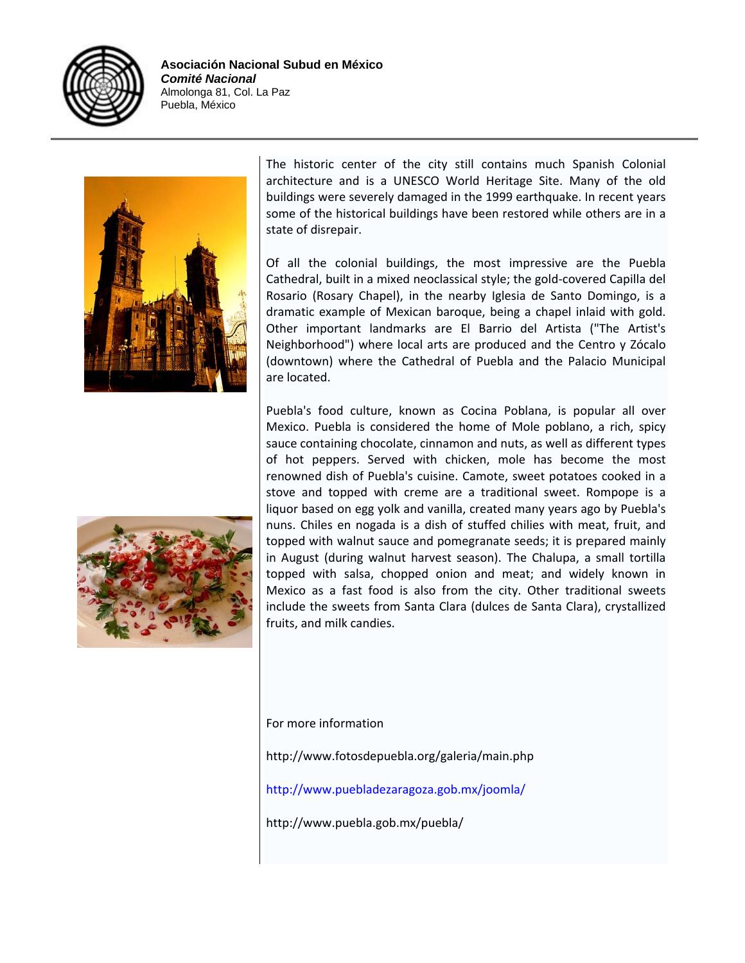



The historic center of the city still contains much Spanish Colonial architecture and is a UNESCO World Heritage Site. Many of the old buildings were severely damaged in the 1999 earthquake. In recent years some of the historical buildings have been restored while others are in a state of disrepair.

Of all the colonial buildings, the most impressive are the Puebla Cathedral, built in a mixed neoclassical style; the gold‐covered Capilla del Rosario (Rosary Chapel), in the nearby Iglesia de Santo Domingo, is a dramatic example of Mexican baroque, being a chapel inlaid with gold. Other important landmarks are El Barrio del Artista ("The Artist's Neighborhood") where local arts are produced and the Centro y Zócalo (downtown) where the Cathedral of Puebla and the Palacio Municipal are located.

Puebla's food culture, known as Cocina Poblana, is popular all over Mexico. Puebla is considered the home of Mole poblano, a rich, spicy sauce containing chocolate, cinnamon and nuts, as well as different types of hot peppers. Served with chicken, mole has become the most renowned dish of Puebla's cuisine. Camote, sweet potatoes cooked in a stove and topped with creme are a traditional sweet. Rompope is a liquor based on egg yolk and vanilla, created many years ago by Puebla's nuns. Chiles en nogada is a dish of stuffed chilies with meat, fruit, and topped with walnut sauce and pomegranate seeds; it is prepared mainly in August (during walnut harvest season). The Chalupa, a small tortilla topped with salsa, chopped onion and meat; and widely known in Mexico as a fast food is also from the city. Other traditional sweets include the sweets from Santa Clara (dulces de Santa Clara), crystallized fruits, and milk candies.



For more information

http://www.fotosdepuebla.org/galeria/main.php

http://www.puebladezaragoza.gob.mx/joomla/

http://www.puebla.gob.mx/puebla/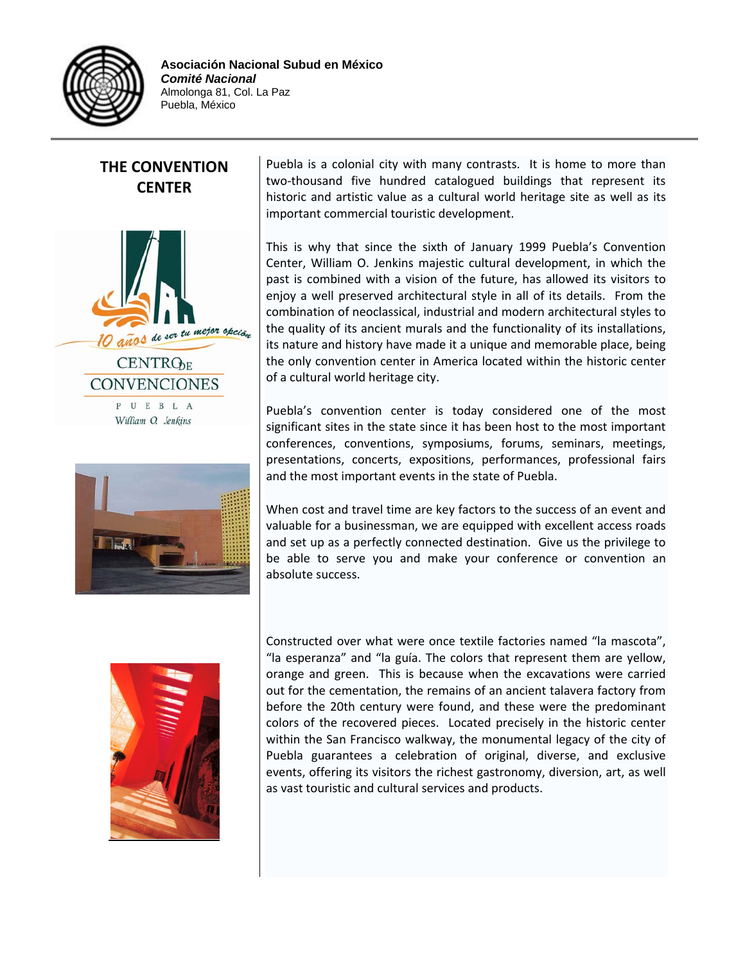

### **THE CONVENTION CENTER**



William O. Jenkins



Puebla is a colonial city with many contrasts. It is home to more than two‐thousand five hundred catalogued buildings that represent its historic and artistic value as a cultural world heritage site as well as its important commercial touristic development.

This is why that since the sixth of January 1999 Puebla's Convention Center, William O. Jenkins majestic cultural development, in which the past is combined with a vision of the future, has allowed its visitors to enjoy a well preserved architectural style in all of its details. From the combination of neoclassical, industrial and modern architectural styles to the quality of its ancient murals and the functionality of its installations, its nature and history have made it a unique and memorable place, being the only convention center in America located within the historic center of a cultural world heritage city.

Puebla's convention center is today considered one of the most significant sites in the state since it has been host to the most important conferences, conventions, symposiums, forums, seminars, meetings, presentations, concerts, expositions, performances, professional fairs and the most important events in the state of Puebla.

When cost and travel time are key factors to the success of an event and valuable for a businessman, we are equipped with excellent access roads and set up as a perfectly connected destination. Give us the privilege to be able to serve you and make your conference or convention an absolute success.



Constructed over what were once textile factories named "la mascota", "la esperanza" and "la guía. The colors that represent them are yellow, orange and green. This is because when the excavations were carried out for the cementation, the remains of an ancient talavera factory from before the 20th century were found, and these were the predominant colors of the recovered pieces. Located precisely in the historic center within the San Francisco walkway, the monumental legacy of the city of Puebla guarantees a celebration of original, diverse, and exclusive events, offering its visitors the richest gastronomy, diversion, art, as well as vast touristic and cultural services and products.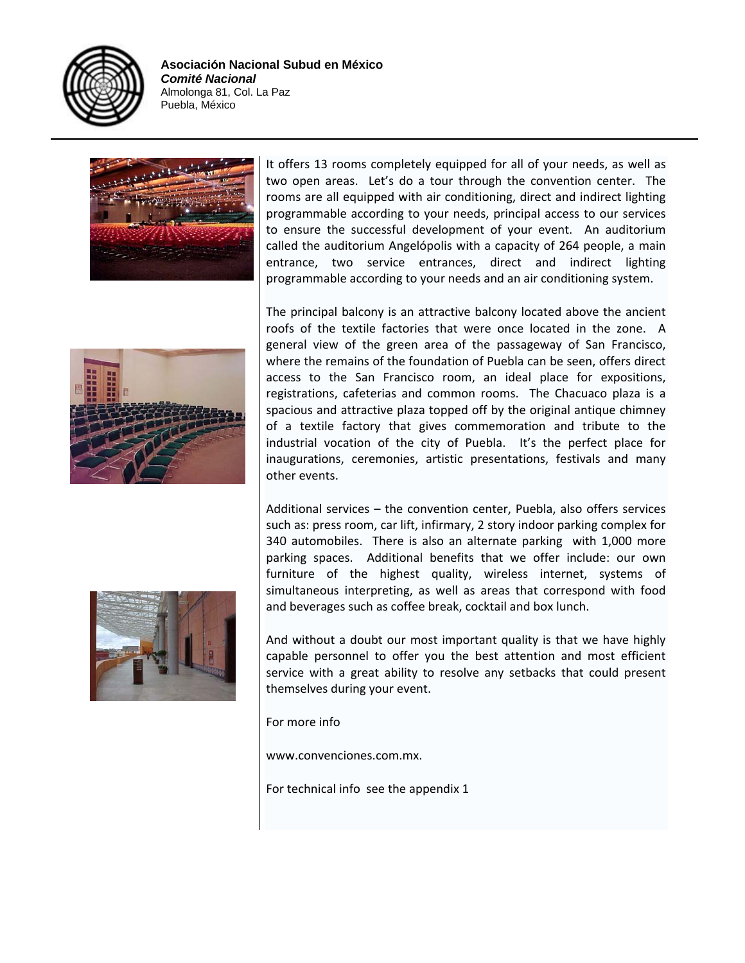





It offers 13 rooms completely equipped for all of your needs, as well as two open areas. Let's do a tour through the convention center. The rooms are all equipped with air conditioning, direct and indirect lighting programmable according to your needs, principal access to our services to ensure the successful development of your event. An auditorium called the auditorium Angelópolis with a capacity of 264 people, a main entrance, two service entrances, direct and indirect lighting programmable according to your needs and an air conditioning system.

The principal balcony is an attractive balcony located above the ancient roofs of the textile factories that were once located in the zone. A general view of the green area of the passageway of San Francisco, where the remains of the foundation of Puebla can be seen, offers direct access to the San Francisco room, an ideal place for expositions, registrations, cafeterias and common rooms. The Chacuaco plaza is a spacious and attractive plaza topped off by the original antique chimney of a textile factory that gives commemoration and tribute to the industrial vocation of the city of Puebla. It's the perfect place for inaugurations, ceremonies, artistic presentations, festivals and many other events.

Additional services – the convention center, Puebla, also offers services such as: press room, car lift, infirmary, 2 story indoor parking complex for 340 automobiles. There is also an alternate parking with 1,000 more parking spaces. Additional benefits that we offer include: our own furniture of the highest quality, wireless internet, systems of simultaneous interpreting, as well as areas that correspond with food and beverages such as coffee break, cocktail and box lunch.

And without a doubt our most important quality is that we have highly capable personnel to offer you the best attention and most efficient service with a great ability to resolve any setbacks that could present themselves during your event.

For more info

www.convenciones.com.mx.

For technical info see the appendix 1

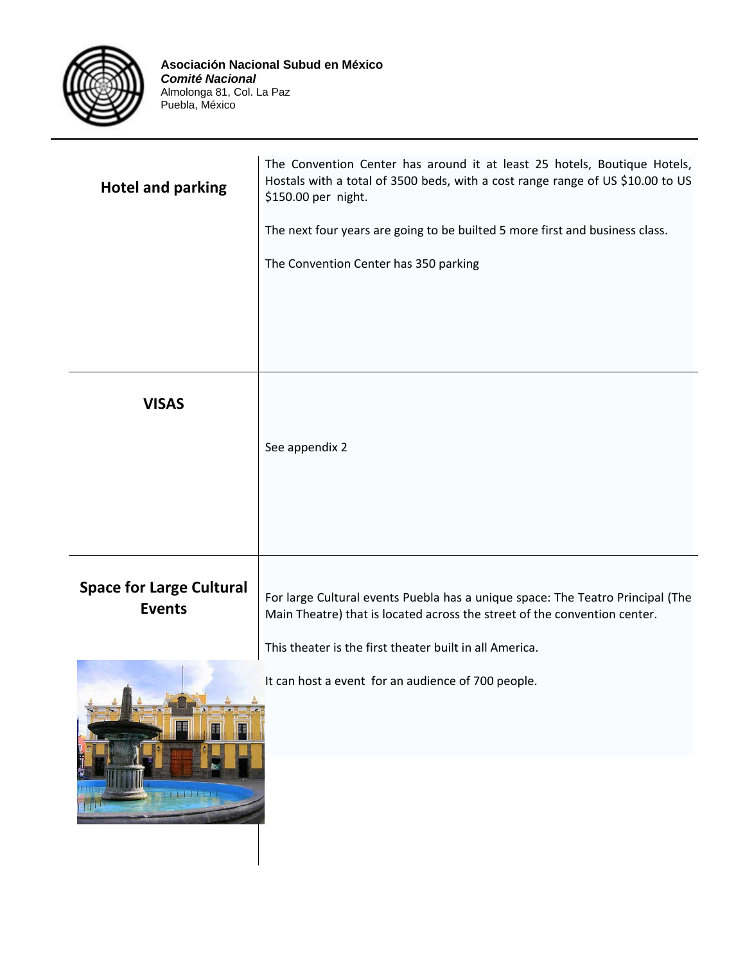

| The Convention Center has around it at least 25 hotels, Boutique Hotels,<br>Hostals with a total of 3500 beds, with a cost range range of US \$10.00 to US<br>\$150.00 per night. |
|-----------------------------------------------------------------------------------------------------------------------------------------------------------------------------------|
| The next four years are going to be builted 5 more first and business class.                                                                                                      |
| The Convention Center has 350 parking                                                                                                                                             |
|                                                                                                                                                                                   |
|                                                                                                                                                                                   |
|                                                                                                                                                                                   |
|                                                                                                                                                                                   |
| See appendix 2                                                                                                                                                                    |
|                                                                                                                                                                                   |
|                                                                                                                                                                                   |
|                                                                                                                                                                                   |
| For large Cultural events Puebla has a unique space: The Teatro Principal (The<br>Main Theatre) that is located across the street of the convention center.                       |
| This theater is the first theater built in all America.                                                                                                                           |
| It can host a event for an audience of 700 people.                                                                                                                                |
|                                                                                                                                                                                   |
|                                                                                                                                                                                   |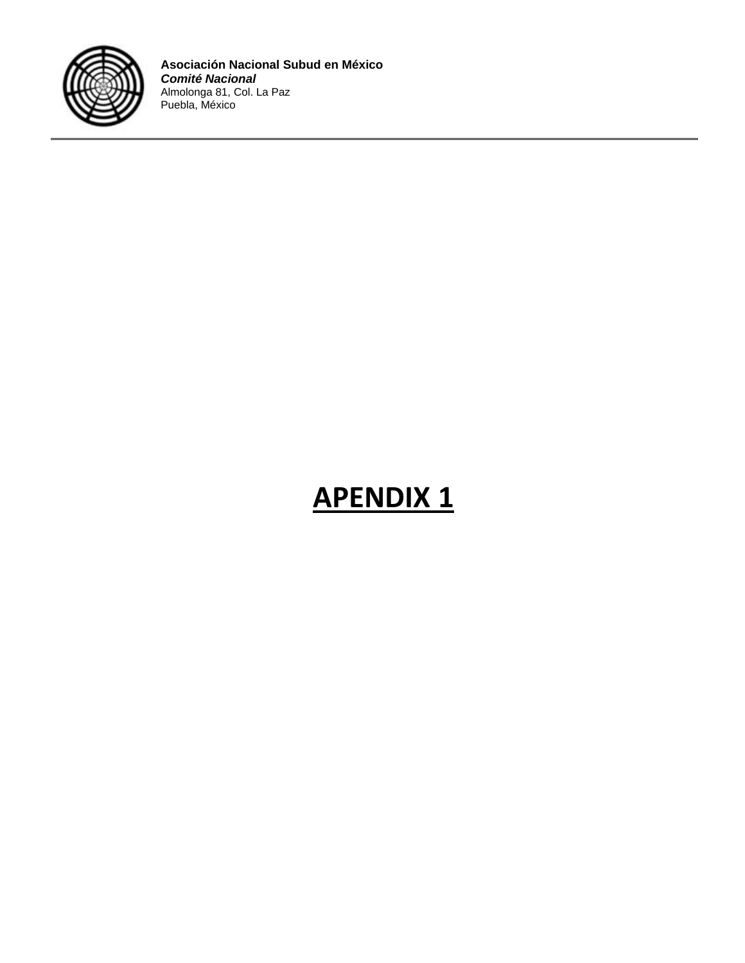

# **APENDIX 1**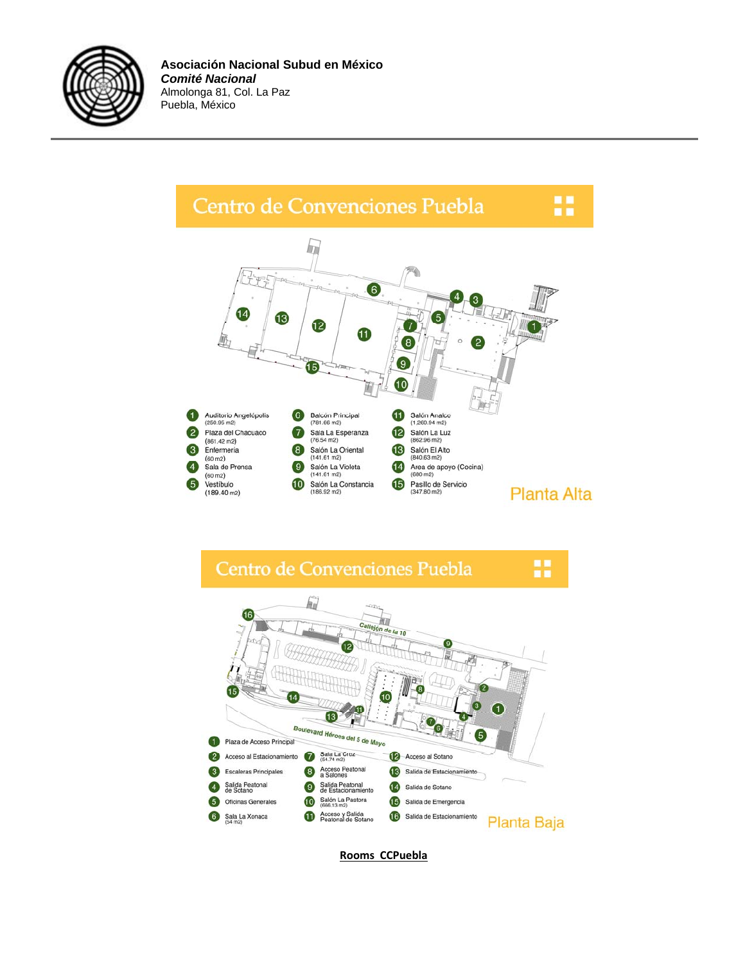





**Rooms CCPuebla**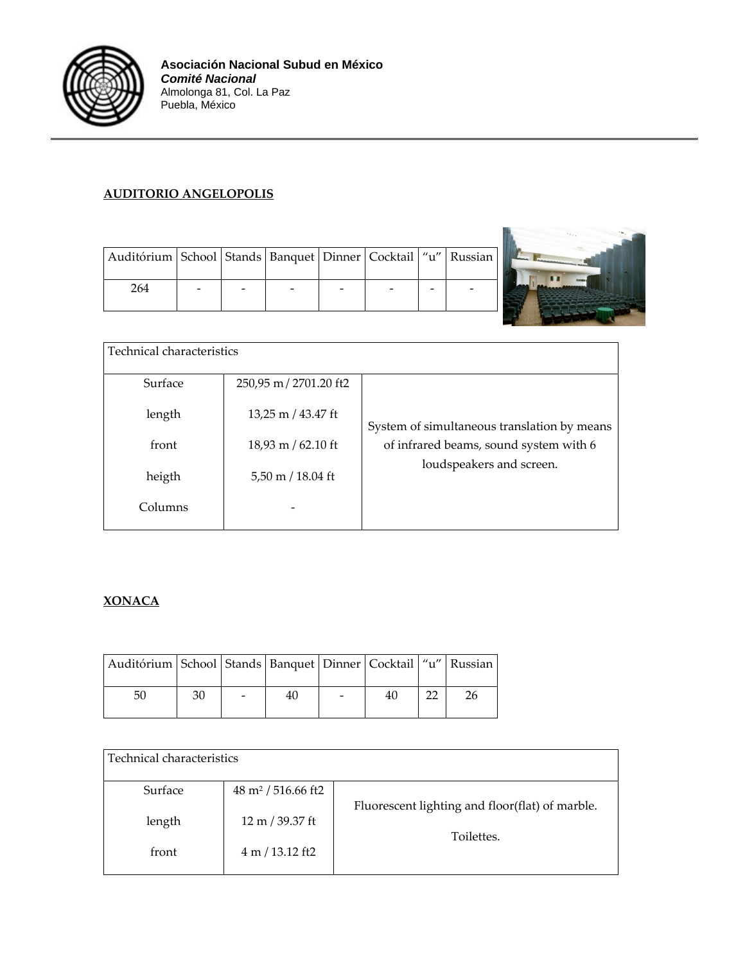

#### **AUDITORIO ANGELOPOLIS**

| Auditórium   School   Stands   Banquet   Dinner   Cocktail   "u"   Russian |  |  |  |  |
|----------------------------------------------------------------------------|--|--|--|--|
| 264                                                                        |  |  |  |  |



| Technical characteristics |                                     |                                             |  |  |  |  |  |
|---------------------------|-------------------------------------|---------------------------------------------|--|--|--|--|--|
| Surface                   | 250,95 m / 2701.20 ft2              |                                             |  |  |  |  |  |
| length                    | 13,25 m / 43.47 ft                  | System of simultaneous translation by means |  |  |  |  |  |
| front                     | 18,93 m / 62.10 ft                  | of infrared beams, sound system with 6      |  |  |  |  |  |
| heigth                    | $5,50 \text{ m} / 18.04 \text{ ft}$ | loudspeakers and screen.                    |  |  |  |  |  |
| Columns                   |                                     |                                             |  |  |  |  |  |

#### **XONACA**

| Auditórium   School   Stands   Banquet   Dinner   Cocktail   "u"   Russian |    |    |    |    |
|----------------------------------------------------------------------------|----|----|----|----|
| 50                                                                         | 30 | 40 | 40 | 26 |

| Technical characteristics |                               |                                                               |
|---------------------------|-------------------------------|---------------------------------------------------------------|
| Surface                   | $48 \text{ m}^2$ / 516.66 ft2 |                                                               |
| length                    | 12 m / 39.37 ft               | Fluorescent lighting and floor(flat) of marble.<br>Toilettes. |
| front                     | 4 m / 13.12 ft2               |                                                               |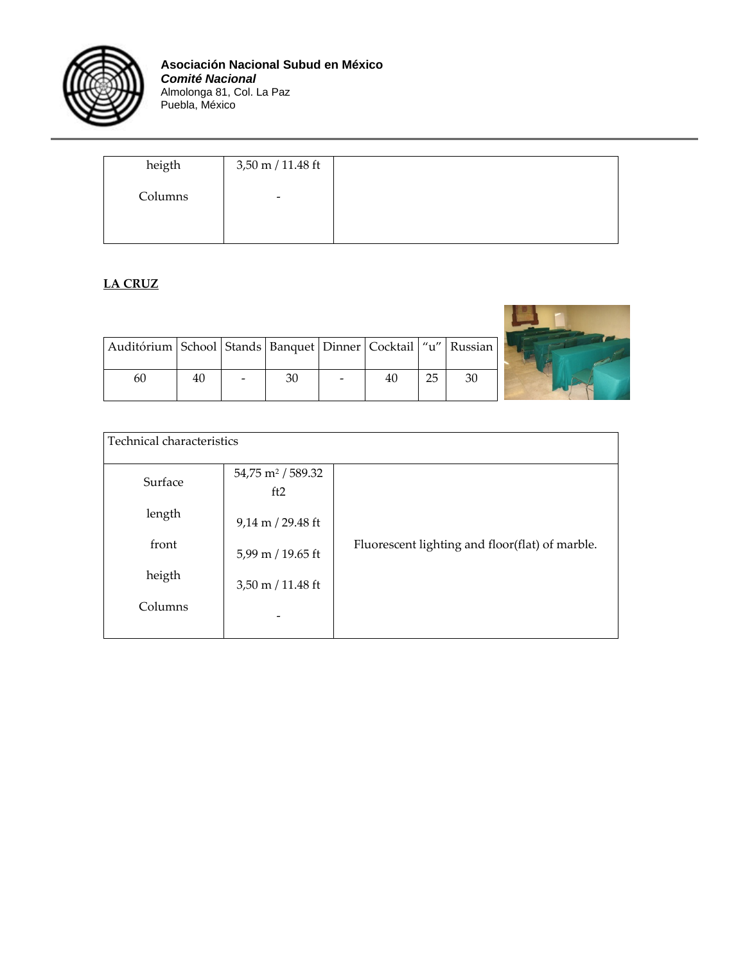

| heigth  | 3,50 m / 11.48 ft        |
|---------|--------------------------|
| Columns | $\overline{\phantom{a}}$ |
|         |                          |

#### **LA CRUZ**

| Auditórium   School   Stands   Banquet   Dinner   Cocktail   "u"   Russian |    |    |  |    |    |
|----------------------------------------------------------------------------|----|----|--|----|----|
|                                                                            |    |    |  |    |    |
| 60                                                                         | 40 | 30 |  | 25 | 30 |
|                                                                            |    |    |  |    |    |
|                                                                            |    |    |  |    |    |



| Technical characteristics |                                      |                                                 |  |  |  |  |
|---------------------------|--------------------------------------|-------------------------------------------------|--|--|--|--|
| Surface                   | 54,75 m <sup>2</sup> / 589.32<br>ft2 |                                                 |  |  |  |  |
| length                    | $9,14 \text{ m}$ / 29.48 ft          |                                                 |  |  |  |  |
| front                     | 5,99 m / 19.65 ft                    | Fluorescent lighting and floor(flat) of marble. |  |  |  |  |
| heigth                    | $3,50 \text{ m} / 11.48 \text{ ft}$  |                                                 |  |  |  |  |
| Columns                   |                                      |                                                 |  |  |  |  |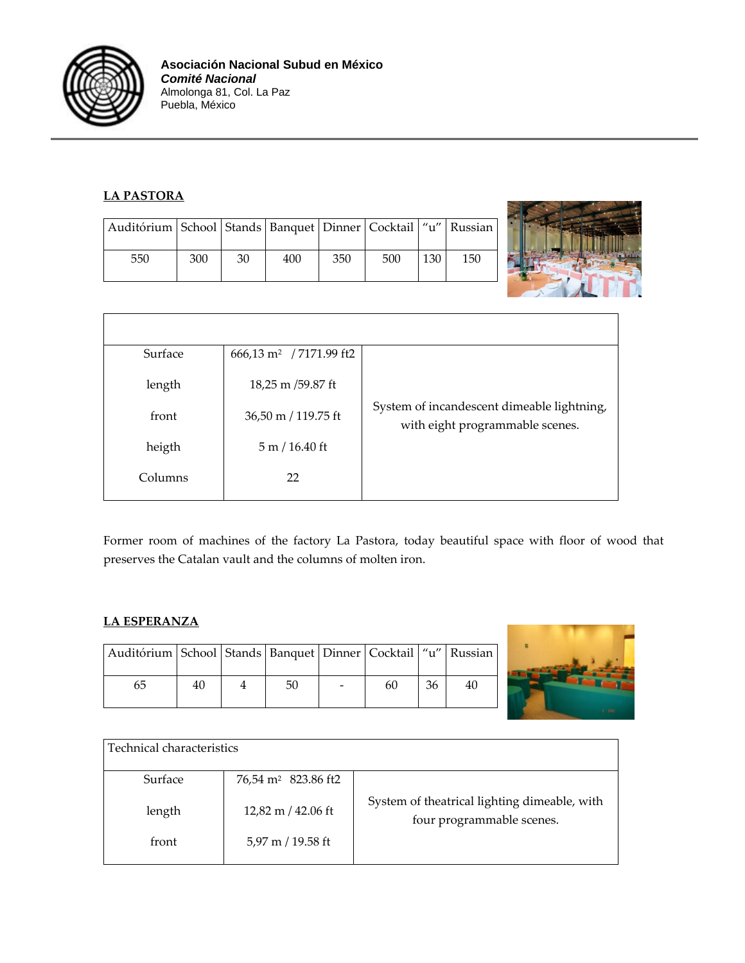

#### **LA PASTORA**

| Auditórium   School   Stands   Banquet   Dinner   Cocktail   "u"   Russian |     |    |     |     |     |     |     |
|----------------------------------------------------------------------------|-----|----|-----|-----|-----|-----|-----|
| 550                                                                        | 300 | 30 | 400 | 350 | 500 | 130 | 150 |



Former room of machines of the factory La Pastora, today beautiful space with floor of wood that preserves the Catalan vault and the columns of molten iron.

#### **LA ESPERANZA**

| Auditórium   School   Stands   Banquet   Dinner   Cocktail   "u"   Russian |    |    |    |    |  |
|----------------------------------------------------------------------------|----|----|----|----|--|
| ჩე                                                                         | 40 | 50 | 60 | 36 |  |



| l Technical characteristics |                                 |                                                                           |
|-----------------------------|---------------------------------|---------------------------------------------------------------------------|
| Surface                     | 76,54 m <sup>2</sup> 823.86 ft2 |                                                                           |
| length                      | $12,82 \text{ m}$ / 42.06 ft    | System of theatrical lighting dimeable, with<br>four programmable scenes. |
| front                       | 5,97 m / 19.58 ft               |                                                                           |
|                             |                                 |                                                                           |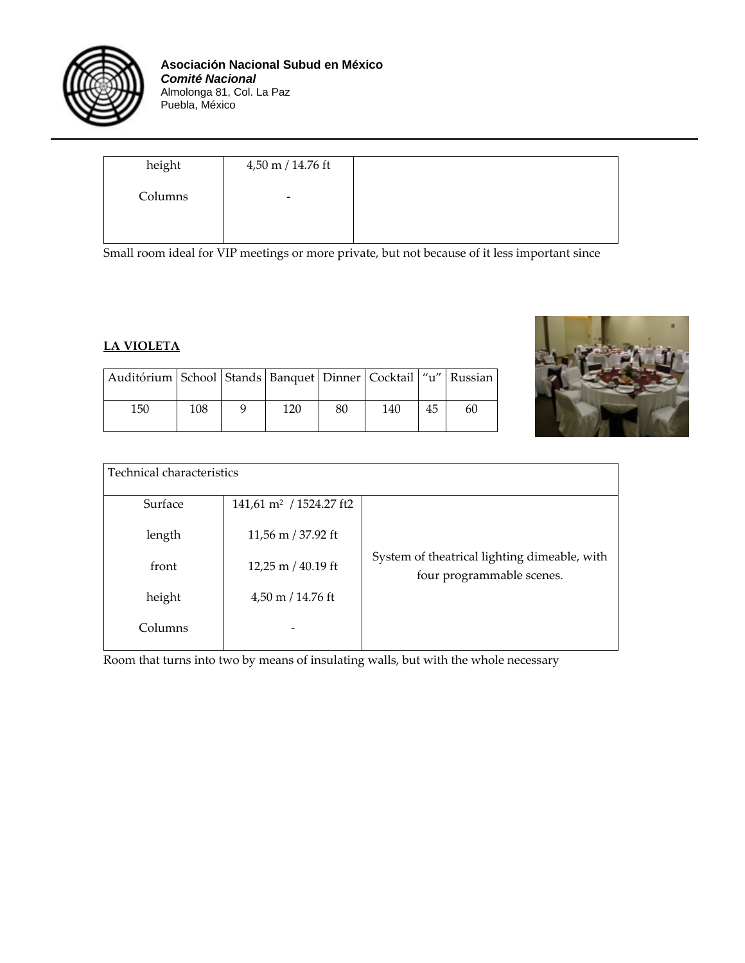

| height  | 4,50 m / 14.76 ft |
|---------|-------------------|
| Columns | -                 |
|         |                   |

Small room ideal for VIP meetings or more private, but not because of it less important since

#### **LA VIOLETA**

| Auditórium   School   Stands   Banquet   Dinner   Cocktail   "u"   Russian |     |     |    |     |    |    |
|----------------------------------------------------------------------------|-----|-----|----|-----|----|----|
| 150                                                                        | 108 | 120 | 80 | 140 | 45 | 60 |



| Technical characteristics |                                     |                                                                           |
|---------------------------|-------------------------------------|---------------------------------------------------------------------------|
| Surface                   | 141,61 m <sup>2</sup> / 1524.27 ft2 |                                                                           |
| length                    | 11,56 m / 37.92 ft                  |                                                                           |
| front                     | 12,25 m $/$ 40.19 ft                | System of theatrical lighting dimeable, with<br>four programmable scenes. |
| height                    | $4,50 \text{ m}$ / 14.76 ft         |                                                                           |
| Columns                   |                                     |                                                                           |

Room that turns into two by means of insulating walls, but with the whole necessary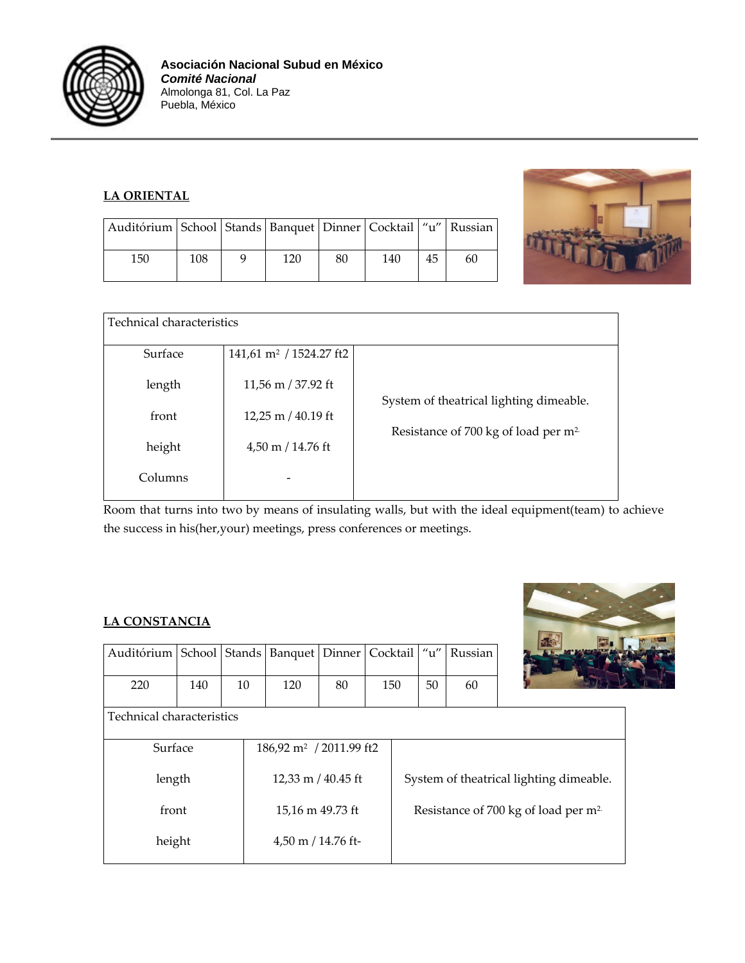

#### **LA ORIENTAL**

| Auditórium   School   Stands   Banquet   Dinner   Cocktail   "u"   Russian |     |     |    |     |    |    |  |
|----------------------------------------------------------------------------|-----|-----|----|-----|----|----|--|
| 150                                                                        | 108 | 120 | 80 | 140 | 45 | 60 |  |



| Technical characteristics |                                     |                                                  |
|---------------------------|-------------------------------------|--------------------------------------------------|
| Surface                   | 141,61 m <sup>2</sup> / 1524.27 ft2 |                                                  |
| length                    | 11,56 m / 37.92 ft                  | System of theatrical lighting dimeable.          |
| front                     | 12,25 m $/$ 40.19 ft                | Resistance of 700 kg of load per m <sup>2.</sup> |
| height                    | $4,50 \text{ m} / 14.76 \text{ ft}$ |                                                  |
| Columns                   |                                     |                                                  |

Room that turns into two by means of insulating walls, but with the ideal equipment(team) to achieve the success in his(her,your) meetings, press conferences or meetings.

#### **LA CONSTANCIA**

| Auditórium   School   Stands   Banquet   Dinner   Cocktail   "u"   Russian |     |    |     |    |     |    |    |
|----------------------------------------------------------------------------|-----|----|-----|----|-----|----|----|
| 220                                                                        | 140 | 10 | 120 | 80 | 150 | 50 | 60 |



Technical characteristics

| 186,92 m <sup>2</sup> / 2011.99 ft2 |                                                  |
|-------------------------------------|--------------------------------------------------|
|                                     |                                                  |
| 12,33 m $/$ 40.45 ft                | System of theatrical lighting dimeable.          |
|                                     |                                                  |
| 15,16 m 49.73 ft                    | Resistance of 700 kg of load per m <sup>2.</sup> |
|                                     |                                                  |
| $4,50$ m $/ 14.76$ ft-              |                                                  |
|                                     |                                                  |
|                                     |                                                  |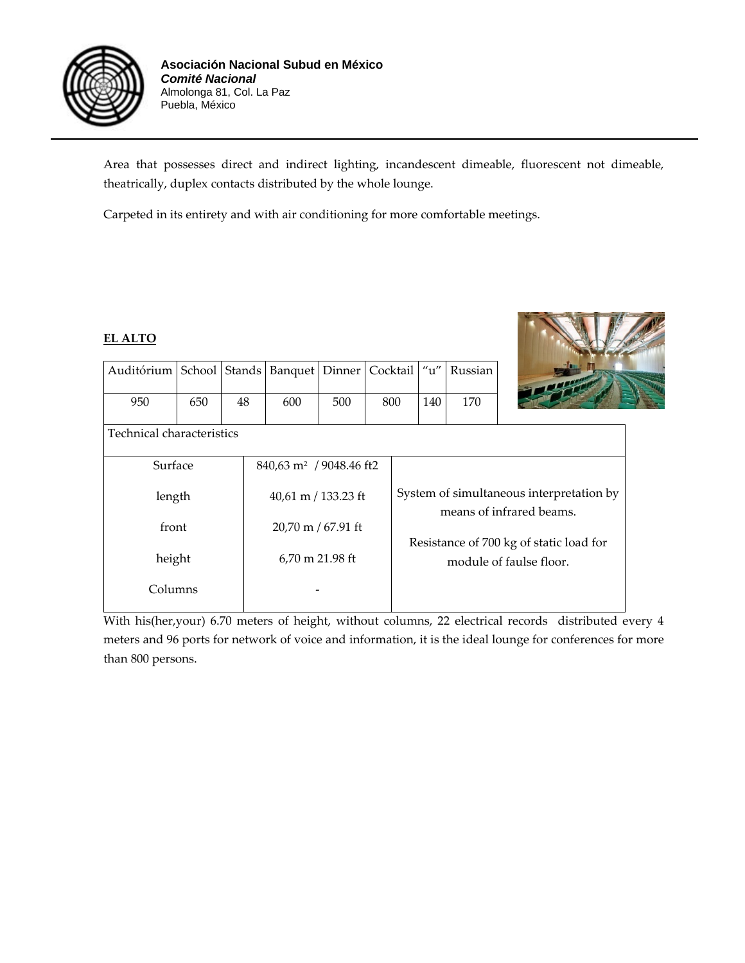

Area that possesses direct and indirect lighting, incandescent dimeable, fluorescent not dimeable, theatrically, duplex contacts distributed by the whole lounge.

Carpeted in its entirety and with air conditioning for more comfortable meetings.

#### **EL ALTO**

| Auditórium   School   Stands   Banquet   Dinner   Cocktail   "u"   Russian |     |    |     |     |     |     |     |
|----------------------------------------------------------------------------|-----|----|-----|-----|-----|-----|-----|
| 950                                                                        | 650 | 48 | 600 | 500 | 800 | 140 | 170 |
| Technical characteristics                                                  |     |    |     |     |     |     |     |
| 840,63 m <sup>2</sup> / 9048.46 ft2<br>Surface                             |     |    |     |     |     |     |     |



| Surface | $840,63$ m <sup>2</sup> / 9048.46 ft2 |                                          |
|---------|---------------------------------------|------------------------------------------|
|         |                                       |                                          |
| length  | 40,61 m / 133.23 ft                   | System of simultaneous interpretation by |
|         |                                       | means of infrared beams.                 |
| front   | $20,70 \text{ m} / 67.91 \text{ ft}$  |                                          |
|         |                                       | Resistance of 700 kg of static load for  |
| height  | 6,70 m 21.98 ft                       | module of faulse floor.                  |
|         |                                       |                                          |
| Columns |                                       |                                          |
|         |                                       |                                          |

With his(her,your) 6.70 meters of height, without columns, 22 electrical records distributed every 4 meters and 96 ports for network of voice and information, it is the ideal lounge for conferences for more than 800 persons.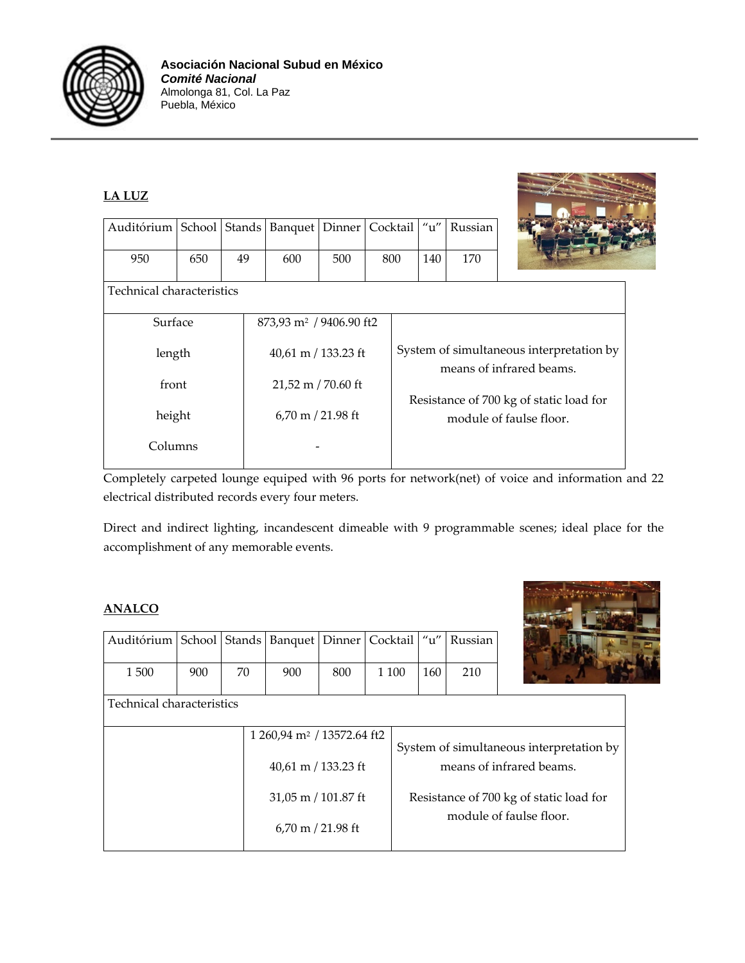

| <b>LA LUZ</b>                |     |    |                                     |        |          |     |         |                                                                      |
|------------------------------|-----|----|-------------------------------------|--------|----------|-----|---------|----------------------------------------------------------------------|
| Auditórium   School   Stands |     |    | Banquet                             | Dinner | Cocktail | u'' | Russian |                                                                      |
| 950                          | 650 | 49 | 600                                 | 500    | 800      | 140 | 170     |                                                                      |
| Technical characteristics    |     |    |                                     |        |          |     |         |                                                                      |
| Surface                      |     |    | 873,93 m <sup>2</sup> / 9406.90 ft2 |        |          |     |         |                                                                      |
| length                       |     |    | 40,61 m / 133.23 ft                 |        |          |     |         | System of simultaneous interpretation by<br>means of infrared beams. |
| front                        |     |    | 21,52 m / 70.60 ft                  |        |          |     |         |                                                                      |
| height                       |     |    | $6,70 \text{ m}$ / 21.98 ft         |        |          |     |         | Resistance of 700 kg of static load for<br>module of faulse floor.   |
| Columns                      |     |    |                                     |        |          |     |         |                                                                      |
|                              |     |    |                                     |        |          |     |         |                                                                      |

Completely carpeted lounge equiped with 96 ports for network(net) of voice and information and 22 electrical distributed records every four meters.

Direct and indirect lighting, incandescent dimeable with 9 programmable scenes; ideal place for the accomplishment of any memorable events.

#### **ANALCO**

| Auditórium   School   Stands   Banquet   Dinner   Cocktail   "u"   Russian |     |    |     |     |         |     |     |  |
|----------------------------------------------------------------------------|-----|----|-----|-----|---------|-----|-----|--|
| 1500                                                                       | 900 | 70 | 900 | 800 | 1 1 0 0 | 160 | 210 |  |



| Technical characteristics |  |                                        |                       |  |                                          |  |  |
|---------------------------|--|----------------------------------------|-----------------------|--|------------------------------------------|--|--|
|                           |  |                                        |                       |  |                                          |  |  |
|                           |  | 1 260,94 m <sup>2</sup> / 13572.64 ft2 |                       |  |                                          |  |  |
|                           |  |                                        |                       |  | System of simultaneous interpretation by |  |  |
|                           |  | $40.61$ m / 133.23 ft                  |                       |  | means of infrared beams.                 |  |  |
|                           |  |                                        |                       |  |                                          |  |  |
|                           |  | 31,05 m / 101.87 ft                    |                       |  | Resistance of 700 kg of static load for  |  |  |
|                           |  |                                        |                       |  | module of faulse floor.                  |  |  |
|                           |  |                                        | $6.70$ m $/$ 21.98 ft |  |                                          |  |  |
|                           |  |                                        |                       |  |                                          |  |  |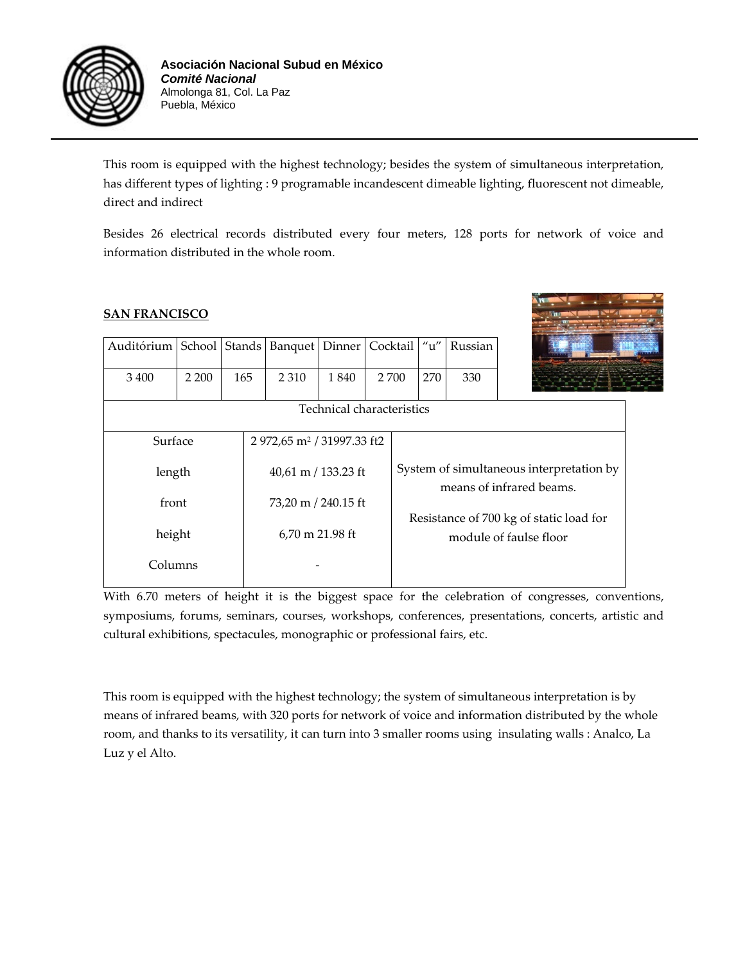

This room is equipped with the highest technology; besides the system of simultaneous interpretation, has different types of lighting : 9 programable incandescent dimeable lighting, fluorescent not dimeable, direct and indirect

Besides 26 electrical records distributed every four meters, 128 ports for network of voice and information distributed in the whole room.

#### **SAN FRANCISCO**

| Auditórium |         | School Stands | Banquet                                | Dinner                    |                                                                   | Cocktail                                                             | u'' | Russian |  |
|------------|---------|---------------|----------------------------------------|---------------------------|-------------------------------------------------------------------|----------------------------------------------------------------------|-----|---------|--|
| 3 4 0 0    | 2 2 0 0 | 165           | 2 3 1 0                                | 1 840                     | 2 700                                                             |                                                                      | 270 | 330     |  |
|            |         |               |                                        | Technical characteristics |                                                                   |                                                                      |     |         |  |
| Surface    |         |               | 2 972,65 m <sup>2</sup> / 31997.33 ft2 |                           |                                                                   |                                                                      |     |         |  |
| length     |         |               | 40,61 m / 133.23 ft                    |                           |                                                                   | System of simultaneous interpretation by<br>means of infrared beams. |     |         |  |
| front      |         |               | 73,20 m / 240.15 ft                    |                           |                                                                   |                                                                      |     |         |  |
| height     |         |               | 6,70 m 21.98 ft                        |                           | Resistance of 700 kg of static load for<br>module of faulse floor |                                                                      |     |         |  |
| Columns    |         |               |                                        |                           |                                                                   |                                                                      |     |         |  |
|            |         |               |                                        |                           |                                                                   |                                                                      |     |         |  |

With 6.70 meters of height it is the biggest space for the celebration of congresses, conventions, symposiums, forums, seminars, courses, workshops, conferences, presentations, concerts, artistic and cultural exhibitions, spectacules, monographic or professional fairs, etc.

This room is equipped with the highest technology; the system of simultaneous interpretation is by means of infrared beams, with 320 ports for network of voice and information distributed by the whole room, and thanks to its versatility, it can turn into 3 smaller rooms using insulating walls : Analco, La Luz y el Alto.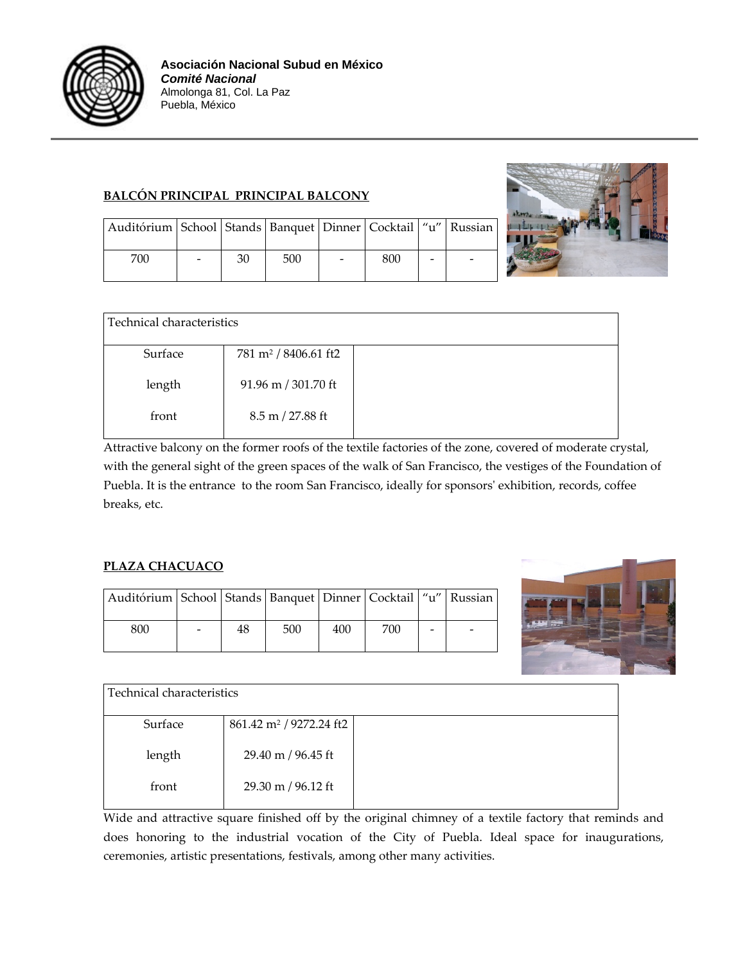

#### **BALCÓN PRINCIPAL PRINCIPAL BALCONY**



| Auditórium   School   Stands   Banquet   Dinner   Cocktail   "u"   Russian |    |     |     |  |
|----------------------------------------------------------------------------|----|-----|-----|--|
| 700                                                                        | 30 | 500 | 800 |  |

| Technical characteristics |                                    |  |
|---------------------------|------------------------------------|--|
| Surface                   | 781 m <sup>2</sup> / 8406.61 ft2   |  |
| length                    | 91.96 m / 301.70 ft                |  |
| front                     | $8.5 \text{ m} / 27.88 \text{ ft}$ |  |

Attractive balcony on the former roofs of the textile factories of the zone, covered of moderate crystal, with the general sight of the green spaces of the walk of San Francisco, the vestiges of the Foundation of Puebla. It is the entrance to the room San Francisco, ideally for sponsors' exhibition, records, coffee breaks, etc.

#### **PLAZA CHACUACO**

| Auditórium   School   Stands   Banquet   Dinner   Cocktail   "u"   Russian |    |     |     |     |  |
|----------------------------------------------------------------------------|----|-----|-----|-----|--|
| 800                                                                        | 48 | 500 | 400 | 700 |  |



| l Technical characteristics |                                     |  |
|-----------------------------|-------------------------------------|--|
| Surface                     | 861.42 m <sup>2</sup> / 9272.24 ft2 |  |
| length                      | 29.40 m / 96.45 ft                  |  |
| front                       | 29.30 m / 96.12 ft                  |  |

Wide and attractive square finished off by the original chimney of a textile factory that reminds and does honoring to the industrial vocation of the City of Puebla. Ideal space for inaugurations, ceremonies, artistic presentations, festivals, among other many activities.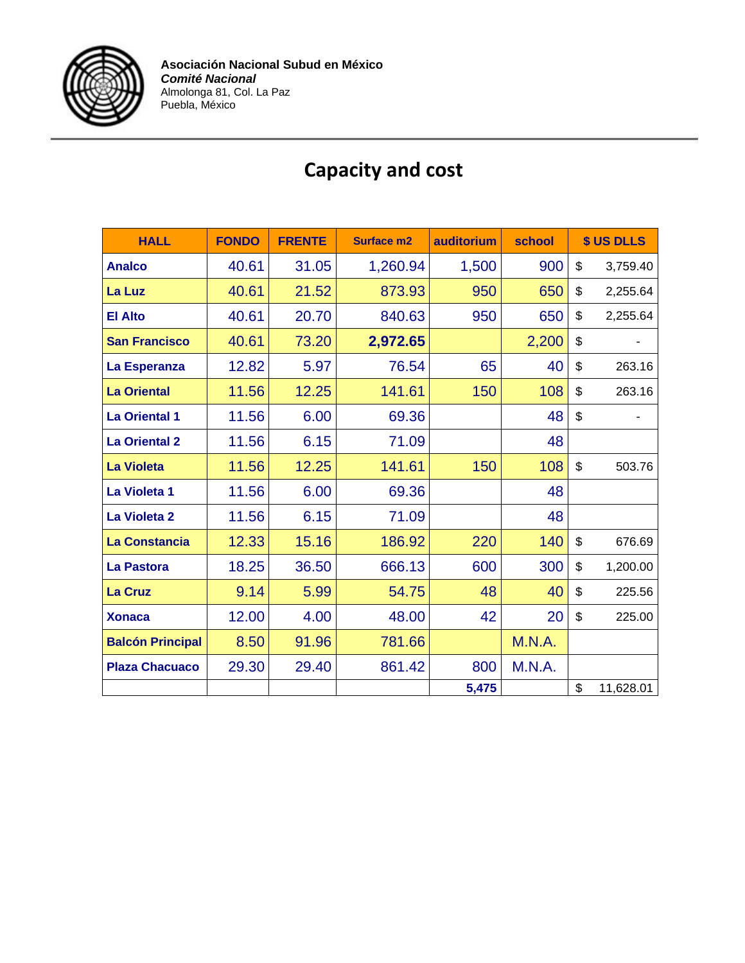

| <b>HALL</b>             | <b>FONDO</b> | <b>FRENTE</b> | <b>Surface m2</b> | auditorium | school | \$ US DLLS      |
|-------------------------|--------------|---------------|-------------------|------------|--------|-----------------|
| <b>Analco</b>           | 40.61        | 31.05         | 1,260.94          | 1,500      | 900    | \$<br>3,759.40  |
| La Luz                  | 40.61        | 21.52         | 873.93            | 950        | 650    | \$<br>2,255.64  |
| <b>El Alto</b>          | 40.61        | 20.70         | 840.63            | 950        | 650    | \$<br>2,255.64  |
| <b>San Francisco</b>    | 40.61        | 73.20         | 2,972.65          |            | 2,200  | \$              |
| La Esperanza            | 12.82        | 5.97          | 76.54             | 65         | 40     | \$<br>263.16    |
| <b>La Oriental</b>      | 11.56        | 12.25         | 141.61            | 150        | 108    | \$<br>263.16    |
| <b>La Oriental 1</b>    | 11.56        | 6.00          | 69.36             |            | 48     | \$              |
| <b>La Oriental 2</b>    | 11.56        | 6.15          | 71.09             |            | 48     |                 |
| <b>La Violeta</b>       | 11.56        | 12.25         | 141.61            | 150        | 108    | \$<br>503.76    |
| La Violeta 1            | 11.56        | 6.00          | 69.36             |            | 48     |                 |
| La Violeta 2            | 11.56        | 6.15          | 71.09             |            | 48     |                 |
| <b>La Constancia</b>    | 12.33        | 15.16         | 186.92            | 220        | 140    | \$<br>676.69    |
| La Pastora              | 18.25        | 36.50         | 666.13            | 600        | 300    | \$<br>1,200.00  |
| <b>La Cruz</b>          | 9.14         | 5.99          | 54.75             | 48         | 40     | \$<br>225.56    |
| <b>Xonaca</b>           | 12.00        | 4.00          | 48.00             | 42         | 20     | \$<br>225.00    |
| <b>Balcón Principal</b> | 8.50         | 91.96         | 781.66            |            | M.N.A. |                 |
| <b>Plaza Chacuaco</b>   | 29.30        | 29.40         | 861.42            | 800        | M.N.A. |                 |
|                         |              |               |                   | 5,475      |        | \$<br>11,628.01 |

### **Capacity and cost**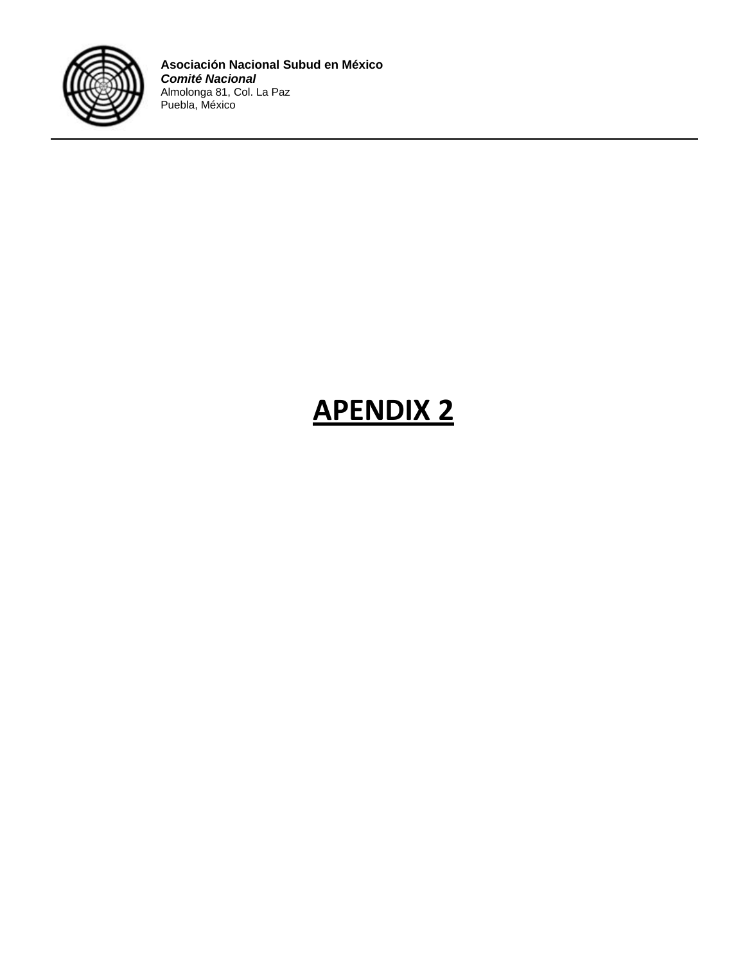

## **APENDIX 2**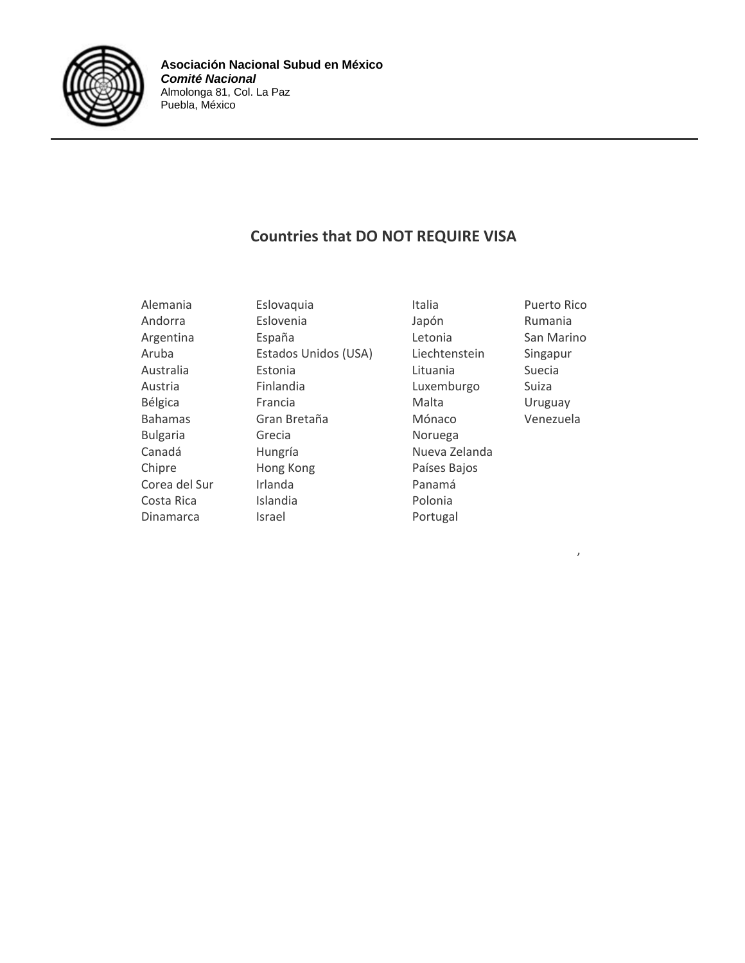

#### **Countries that DO NOT REQUIRE VISA**

Alemania **Eslovaquia Eslovaquia** Italia Puerto Rico Andorra Eslovenia Japón Rumania Argentina **España** España Letonia San Marino Aruba Estados Unidos (USA) Liechtenstein Singapur Australia Estonia Lituania Suecia Austria Finlandia Luxemburgo Suiza Bélgica **Francia** Francia Malta Malta Bahamas Gran Bretaña Mónaco Venezuela Bulgaria Grecia Noruega Canadá **Hungría** Hungría Nueva Zelanda Chipre **Hong Kong** Países Bajos Corea del Sur Irlanda **III. Il establishe del Surano II. I**rlanda e Panamá Costa Rica **Islandia Polonia** Dinamarca Israel **Israel** Portugal

, and the contract of  $\mathcal{L}$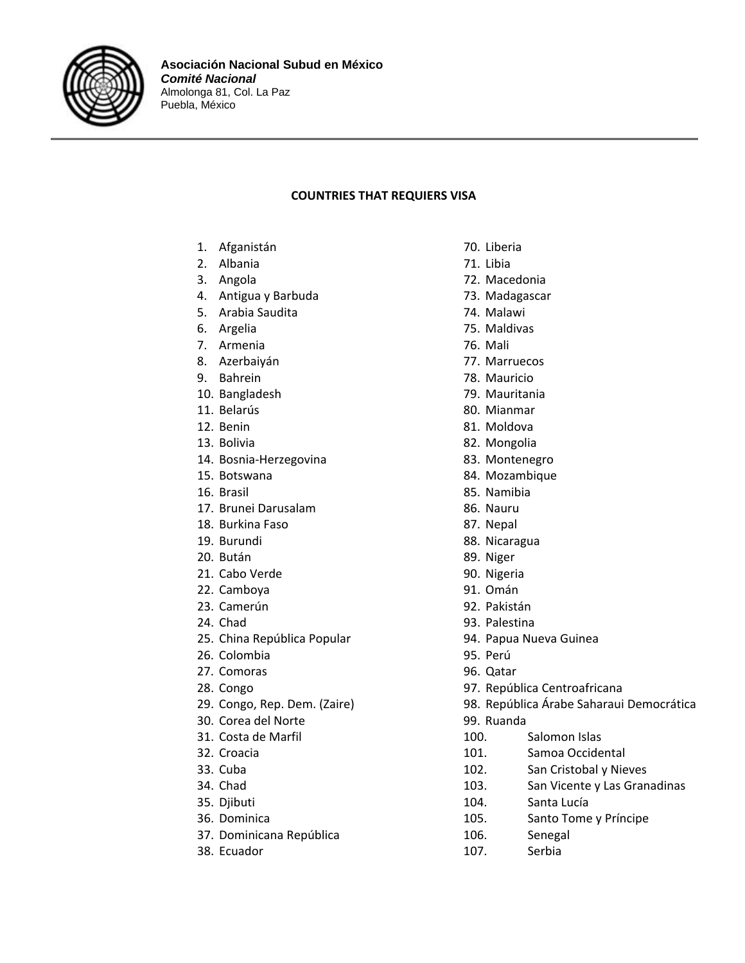

#### **COUNTRIES THAT REQUIERS VISA**

- 1. Afganistán
- 2. Albania
- 3. Angola
- 4. Antigua y Barbuda
- 5. Arabia Saudita
- 6. Argelia
- 7. Armenia
- 8. Azerbaiyán
- 9. Bahrein
- 10. Bangladesh
- 11. Belarús
- 12. Benin
- 13. Bolivia
- 14. Bosnia‐Herzegovina
- 15. Botswana
- 16. Brasil
- 17. Brunei Darusalam
- 18. Burkina Faso
- 19. Burundi
- 20. Bután
- 21. Cabo Verde
- 22. Camboya
- 23. Camerún
- 24. Chad
- 25. China República Popular
- 26. Colombia
- 27. Comoras
- 28. Congo
- 29. Congo, Rep. Dem. (Zaire)
- 30. Corea del Norte
- 31. Costa de Marfil
- 32. Croacia
- 33. Cuba
- 34. Chad
- 35. Djibuti
- 36. Dominica
- 37. Dominicana República
- 38. Ecuador
- 70. Liberia
- 71. Libia
- 72. Macedonia
- 73. Madagascar
- 74. Malawi
- 75. Maldivas
- 76. Mali
- 77. Marruecos
- 78. Mauricio
- 79. Mauritania
- 80. Mianmar
- 81. Moldova
- 82. Mongolia
- 83. Montenegro
- 84. Mozambique
- 85. Namibia
- 86. Nauru
- 87. Nepal
- 88. Nicaragua
- 89. Niger
- 90. Nigeria
- 91. Omán
- 92. Pakistán
- 93. Palestina
- 94. Papua Nueva Guinea
- 95. Perú
- 
- 97. República Centroafricana
- 
- 
- 
- 101. Samoa Occidental
- 102. San Cristobal y Nieves
- 103. San Vicente y Las Granadinas
- 104. Santa Lucía
- 105. Santo Tome y Príncipe
- 
- 107. Serbia
- 96. Qatar
- 
- 98. República Árabe Saharaui Democrática
- 99. Ruanda
- 100. Salomon Islas
- 
- 
- 
- 
- 
- 106. Senegal